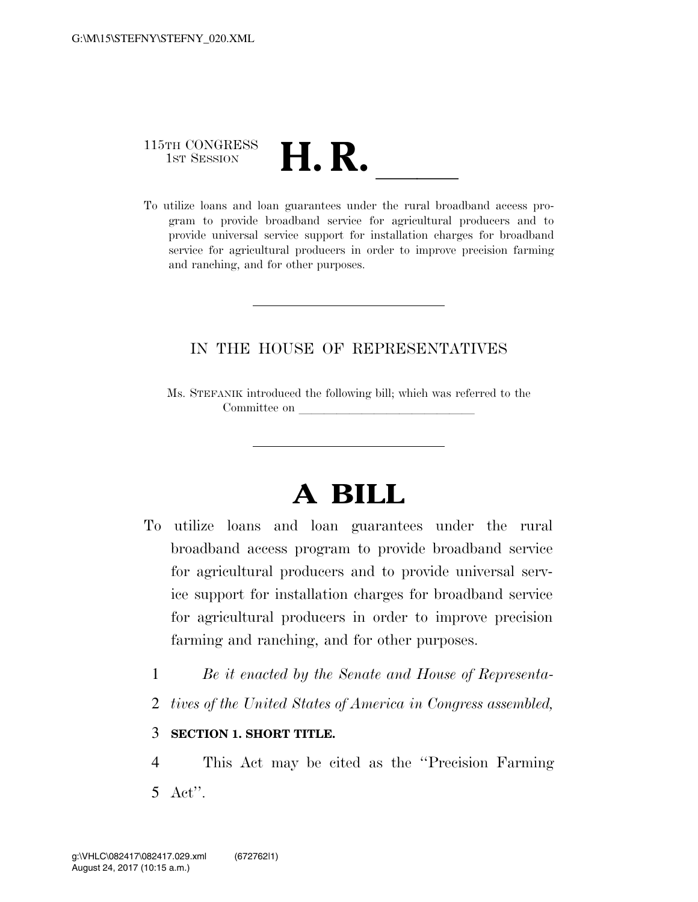## 115TH CONGRESS 115TH CONGRESS<br>1st SESSION<br>To utilize loans and loan guarantees under the rural broadband access pro-

gram to provide broadband service for agricultural producers and to provide universal service support for installation charges for broadband service for agricultural producers in order to improve precision farming and ranching, and for other purposes.

## IN THE HOUSE OF REPRESENTATIVES

Ms. STEFANIK introduced the following bill; which was referred to the Committee on

## **A BILL**

- To utilize loans and loan guarantees under the rural broadband access program to provide broadband service for agricultural producers and to provide universal service support for installation charges for broadband service for agricultural producers in order to improve precision farming and ranching, and for other purposes.
	- 1 *Be it enacted by the Senate and House of Representa-*
	- 2 *tives of the United States of America in Congress assembled,*

## 3 **SECTION 1. SHORT TITLE.**

4 This Act may be cited as the ''Precision Farming 5 Act''.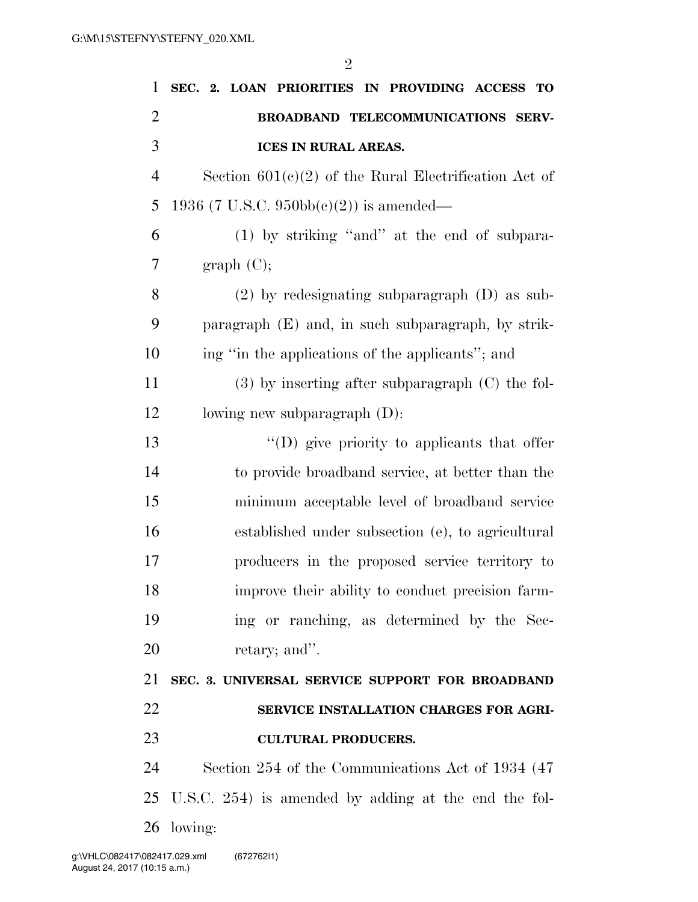| 1              | SEC. 2. LOAN PRIORITIES IN PROVIDING ACCESS TO          |
|----------------|---------------------------------------------------------|
| $\overline{2}$ | BROADBAND TELECOMMUNICATIONS SERV-                      |
| 3              | <b>ICES IN RURAL AREAS.</b>                             |
| $\overline{4}$ | Section $601(c)(2)$ of the Rural Electrification Act of |
| 5              | 1936 (7 U.S.C. 950bb(c)(2)) is amended—                 |
| 6              | $(1)$ by striking "and" at the end of subpara-          |
| 7              | graph (C);                                              |
| 8              | $(2)$ by redesignating subparagraph $(D)$ as sub-       |
| 9              | paragraph (E) and, in such subparagraph, by strik-      |
| 10             | ing "in the applications of the applicants"; and        |
| 11             | $(3)$ by inserting after subparagraph $(C)$ the fol-    |
| 12             | lowing new subparagraph $(D)$ :                         |
| 13             | "(D) give priority to applicants that offer             |
| 14             | to provide broadband service, at better than the        |
| 15             | minimum acceptable level of broadband service           |
| 16             | established under subsection (e), to agricultural       |
| 17             | producers in the proposed service territory to          |
| 18             | improve their ability to conduct precision farm-        |
| 19             | ing or ranching, as determined by the Sec-              |
| 20             | retary; and".                                           |
| 21             | SEC. 3. UNIVERSAL SERVICE SUPPORT FOR BROADBAND         |
| 22             | SERVICE INSTALLATION CHARGES FOR AGRI-                  |
| 23             | <b>CULTURAL PRODUCERS.</b>                              |
| 24             | Section 254 of the Communications Act of 1934 (47)      |
|                | 25 U.S.C. 254) is amended by adding at the end the fol- |
|                | 26 lowing:                                              |
|                |                                                         |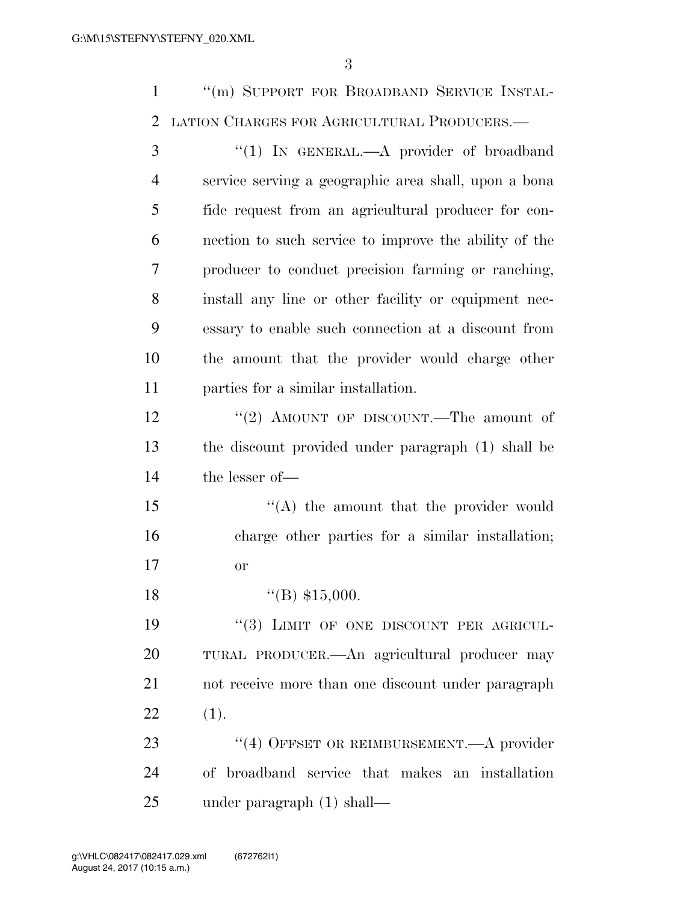''(m) SUPPORT FOR BROADBAND SERVICE INSTAL-LATION CHARGES FOR AGRICULTURAL PRODUCERS.—

3 "(1) IN GENERAL.—A provider of broadband service serving a geographic area shall, upon a bona fide request from an agricultural producer for con- nection to such service to improve the ability of the producer to conduct precision farming or ranching, install any line or other facility or equipment nec- essary to enable such connection at a discount from the amount that the provider would charge other parties for a similar installation. 12 ''(2) AMOUNT OF DISCOUNT.—The amount of the discount provided under paragraph (1) shall be the lesser of— 15 "(A) the amount that the provider would charge other parties for a similar installation; or  $\text{``(B) } $15,000.$ 19 "(3) LIMIT OF ONE DISCOUNT PER AGRICUL- TURAL PRODUCER.—An agricultural producer may not receive more than one discount under paragraph (1). 23 "(4) OFFSET OR REIMBURSEMENT.—A provider of broadband service that makes an installation

under paragraph (1) shall—